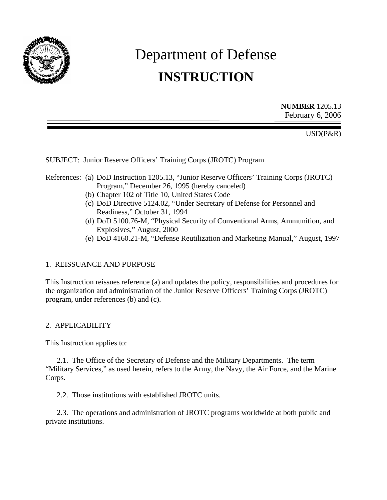

# Department of Defense **INSTRUCTION**

**NUMBER** 1205.13 February 6, 2006

USD(P&R)

SUBJECT: Junior Reserve Officers' Training Corps (JROTC) Program

#### References: (a) DoD Instruction 1205.13, "Junior Reserve Officers' Training Corps (JROTC) Program," December 26, 1995 (hereby canceled)

- (b) Chapter 102 of Title 10, United States Code
- (c) DoD Directive 5124.02, "Under Secretary of Defense for Personnel and Readiness," October 31, 1994
- (d) DoD 5100.76-M, "Physical Security of Conventional Arms, Ammunition, and Explosives," August, 2000
- (e) DoD 4160.21-M, "Defense Reutilization and Marketing Manual," August, 1997

## 1. REISSUANCE AND PURPOSE

This Instruction reissues reference (a) and updates the policy, responsibilities and procedures for the organization and administration of the Junior Reserve Officers' Training Corps (JROTC) program, under references (b) and (c).

#### 2. APPLICABILITY

This Instruction applies to:

2.1. The Office of the Secretary of Defense and the Military Departments. The term "Military Services," as used herein, refers to the Army, the Navy, the Air Force, and the Marine Corps.

2.2. Those institutions with established JROTC units.

2.3. The operations and administration of JROTC programs worldwide at both public and private institutions.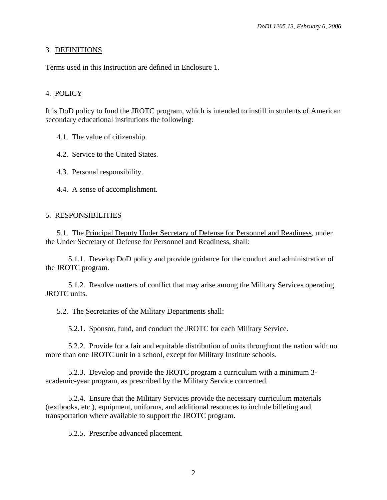## 3. DEFINITIONS

Terms used in this Instruction are defined in Enclosure 1.

## 4. POLICY

It is DoD policy to fund the JROTC program, which is intended to instill in students of American secondary educational institutions the following:

4.1. The value of citizenship.

4.2. Service to the United States.

4.3. Personal responsibility.

4.4. A sense of accomplishment.

#### 5. RESPONSIBILITIES

5.1. The Principal Deputy Under Secretary of Defense for Personnel and Readiness, under the Under Secretary of Defense for Personnel and Readiness, shall:

5.1.1. Develop DoD policy and provide guidance for the conduct and administration of the JROTC program.

5.1.2. Resolve matters of conflict that may arise among the Military Services operating JROTC units.

5.2. The Secretaries of the Military Departments shall:

5.2.1. Sponsor, fund, and conduct the JROTC for each Military Service.

5.2.2. Provide for a fair and equitable distribution of units throughout the nation with no more than one JROTC unit in a school, except for Military Institute schools.

5.2.3. Develop and provide the JROTC program a curriculum with a minimum 3 academic-year program, as prescribed by the Military Service concerned.

5.2.4. Ensure that the Military Services provide the necessary curriculum materials (textbooks, etc.), equipment, uniforms, and additional resources to include billeting and transportation where available to support the JROTC program.

5.2.5. Prescribe advanced placement.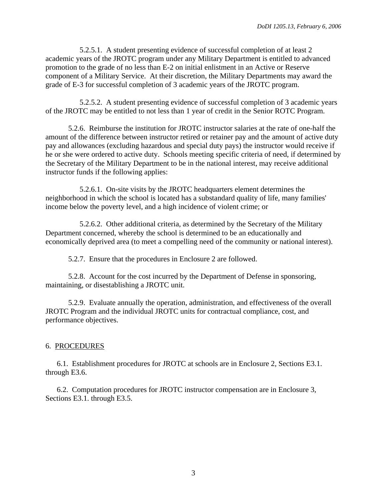5.2.5.1. A student presenting evidence of successful completion of at least 2 academic years of the JROTC program under any Military Department is entitled to advanced promotion to the grade of no less than E-2 on initial enlistment in an Active or Reserve component of a Military Service. At their discretion, the Military Departments may award the grade of E-3 for successful completion of 3 academic years of the JROTC program.

5.2.5.2. A student presenting evidence of successful completion of 3 academic years of the JROTC may be entitled to not less than 1 year of credit in the Senior ROTC Program.

5.2.6. Reimburse the institution for JROTC instructor salaries at the rate of one-half the amount of the difference between instructor retired or retainer pay and the amount of active duty pay and allowances (excluding hazardous and special duty pays) the instructor would receive if he or she were ordered to active duty. Schools meeting specific criteria of need, if determined by the Secretary of the Military Department to be in the national interest, may receive additional instructor funds if the following applies:

5.2.6.1. On-site visits by the JROTC headquarters element determines the neighborhood in which the school is located has a substandard quality of life, many families' income below the poverty level, and a high incidence of violent crime; or

5.2.6.2. Other additional criteria, as determined by the Secretary of the Military Department concerned, whereby the school is determined to be an educationally and economically deprived area (to meet a compelling need of the community or national interest).

5.2.7. Ensure that the procedures in Enclosure 2 are followed.

5.2.8. Account for the cost incurred by the Department of Defense in sponsoring, maintaining, or disestablishing a JROTC unit.

5.2.9. Evaluate annually the operation, administration, and effectiveness of the overall JROTC Program and the individual JROTC units for contractual compliance, cost, and performance objectives.

# 6. PROCEDURES

6.1. Establishment procedures for JROTC at schools are in Enclosure 2, Sections E3.1. through E3.6.

6.2. Computation procedures for JROTC instructor compensation are in Enclosure 3, Sections E3.1. through E3.5.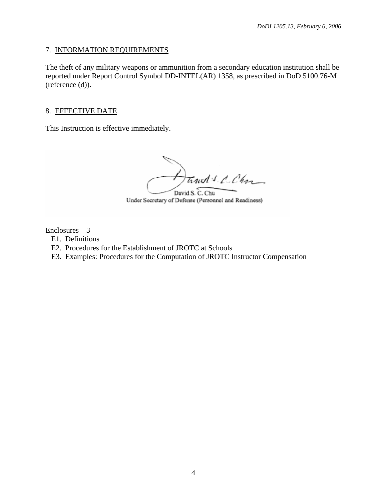## 7. INFORMATION REQUIREMENTS

The theft of any military weapons or ammunition from a secondary education institution shall be reported under Report Control Symbol DD-INTEL(AR) 1358, as prescribed in DoD 5100.76-M (reference (d)).

## 8. EFFECTIVE DATE

This Instruction is effective immediately.

Trust's C. Char

David S. C. Chu Under Secretary of Defense (Personnel and Readiness)

 $Enclosures - 3$ 

- E1. Definitions
- E2. Procedures for the Establishment of JROTC at Schools
- E3. Examples: Procedures for the Computation of JROTC Instructor Compensation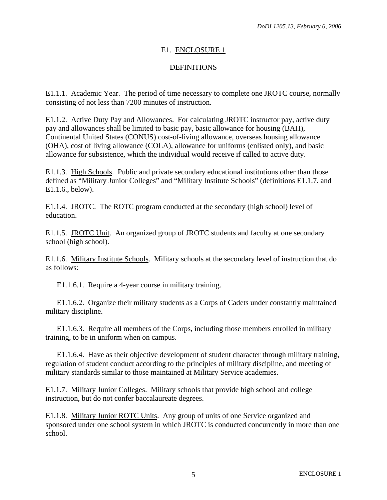# E1. ENCLOSURE 1

# DEFINITIONS

E1.1.1. Academic Year. The period of time necessary to complete one JROTC course, normally consisting of not less than 7200 minutes of instruction.

E1.1.2. Active Duty Pay and Allowances. For calculating JROTC instructor pay, active duty pay and allowances shall be limited to basic pay, basic allowance for housing (BAH), Continental United States (CONUS) cost-of-living allowance, overseas housing allowance (OHA), cost of living allowance (COLA), allowance for uniforms (enlisted only), and basic allowance for subsistence, which the individual would receive if called to active duty.

E1.1.3. High Schools. Public and private secondary educational institutions other than those defined as "Military Junior Colleges" and "Military Institute Schools" (definitions E1.1.7. and E1.1.6., below).

E1.1.4. JROTC. The ROTC program conducted at the secondary (high school) level of education.

E1.1.5. JROTC Unit. An organized group of JROTC students and faculty at one secondary school (high school).

E1.1.6. Military Institute Schools. Military schools at the secondary level of instruction that do as follows:

E1.1.6.1. Require a 4-year course in military training.

E1.1.6.2. Organize their military students as a Corps of Cadets under constantly maintained military discipline.

E1.1.6.3. Require all members of the Corps, including those members enrolled in military training, to be in uniform when on campus.

E1.1.6.4. Have as their objective development of student character through military training, regulation of student conduct according to the principles of military discipline, and meeting of military standards similar to those maintained at Military Service academies.

E1.1.7. Military Junior Colleges. Military schools that provide high school and college instruction, but do not confer baccalaureate degrees.

E1.1.8. Military Junior ROTC Units. Any group of units of one Service organized and sponsored under one school system in which JROTC is conducted concurrently in more than one school.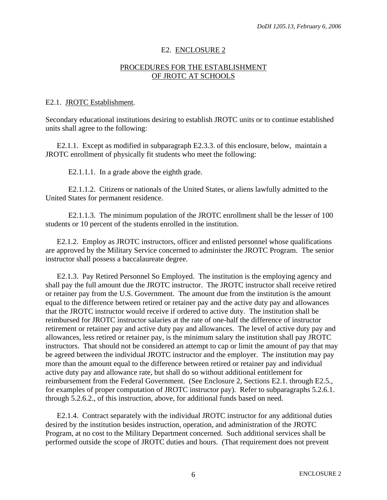#### E2. ENCLOSURE 2

#### PROCEDURES FOR THE ESTABLISHMENT OF JROTC AT SCHOOLS

#### E2.1. JROTC Establishment.

Secondary educational institutions desiring to establish JROTC units or to continue established units shall agree to the following:

E2.1.1. Except as modified in subparagraph E2.3.3. of this enclosure, below, maintain a JROTC enrollment of physically fit students who meet the following:

E2.1.1.1. In a grade above the eighth grade.

E2.1.1.2. Citizens or nationals of the United States, or aliens lawfully admitted to the United States for permanent residence.

E2.1.1.3. The minimum population of the JROTC enrollment shall be the lesser of 100 students or 10 percent of the students enrolled in the institution.

E2.1.2. Employ as JROTC instructors, officer and enlisted personnel whose qualifications are approved by the Military Service concerned to administer the JROTC Program. The senior instructor shall possess a baccalaureate degree.

E2.1.3. Pay Retired Personnel So Employed. The institution is the employing agency and shall pay the full amount due the JROTC instructor. The JROTC instructor shall receive retired or retainer pay from the U.S. Government. The amount due from the institution is the amount equal to the difference between retired or retainer pay and the active duty pay and allowances that the JROTC instructor would receive if ordered to active duty. The institution shall be reimbursed for JROTC instructor salaries at the rate of one-half the difference of instructor retirement or retainer pay and active duty pay and allowances. The level of active duty pay and allowances, less retired or retainer pay, is the minimum salary the institution shall pay JROTC instructors. That should not be considered an attempt to cap or limit the amount of pay that may be agreed between the individual JROTC instructor and the employer. The institution may pay more than the amount equal to the difference between retired or retainer pay and individual active duty pay and allowance rate, but shall do so without additional entitlement for reimbursement from the Federal Government. (See Enclosure 2, Sections E2.1. through E2.5., for examples of proper computation of JROTC instructor pay). Refer to subparagraphs 5.2.6.1. through 5.2.6.2., of this instruction, above, for additional funds based on need.

E2.1.4. Contract separately with the individual JROTC instructor for any additional duties desired by the institution besides instruction, operation, and administration of the JROTC Program, at no cost to the Military Department concerned. Such additional services shall be performed outside the scope of JROTC duties and hours. (That requirement does not prevent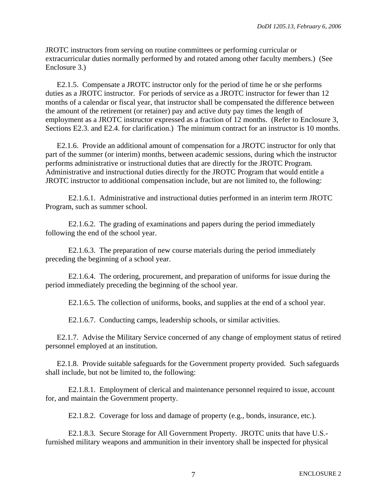JROTC instructors from serving on routine committees or performing curricular or extracurricular duties normally performed by and rotated among other faculty members.) (See Enclosure 3.)

E2.1.5. Compensate a JROTC instructor only for the period of time he or she performs duties as a JROTC instructor. For periods of service as a JROTC instructor for fewer than 12 months of a calendar or fiscal year, that instructor shall be compensated the difference between the amount of the retirement (or retainer) pay and active duty pay times the length of employment as a JROTC instructor expressed as a fraction of 12 months. (Refer to Enclosure 3, Sections E2.3. and E2.4. for clarification.) The minimum contract for an instructor is 10 months.

E2.1.6. Provide an additional amount of compensation for a JROTC instructor for only that part of the summer (or interim) months, between academic sessions, during which the instructor performs administrative or instructional duties that are directly for the JROTC Program. Administrative and instructional duties directly for the JROTC Program that would entitle a JROTC instructor to additional compensation include, but are not limited to, the following:

E2.1.6.1. Administrative and instructional duties performed in an interim term JROTC Program, such as summer school.

E2.1.6.2. The grading of examinations and papers during the period immediately following the end of the school year.

E2.1.6.3. The preparation of new course materials during the period immediately preceding the beginning of a school year.

E2.1.6.4. The ordering, procurement, and preparation of uniforms for issue during the period immediately preceding the beginning of the school year.

E2.1.6.5. The collection of uniforms, books, and supplies at the end of a school year.

E2.1.6.7. Conducting camps, leadership schools, or similar activities.

E2.1.7. Advise the Military Service concerned of any change of employment status of retired personnel employed at an institution.

E2.1.8. Provide suitable safeguards for the Government property provided. Such safeguards shall include, but not be limited to, the following:

E2.1.8.1. Employment of clerical and maintenance personnel required to issue, account for, and maintain the Government property.

E2.1.8.2. Coverage for loss and damage of property (e.g., bonds, insurance, etc.).

E2.1.8.3. Secure Storage for All Government Property. JROTC units that have U.S. furnished military weapons and ammunition in their inventory shall be inspected for physical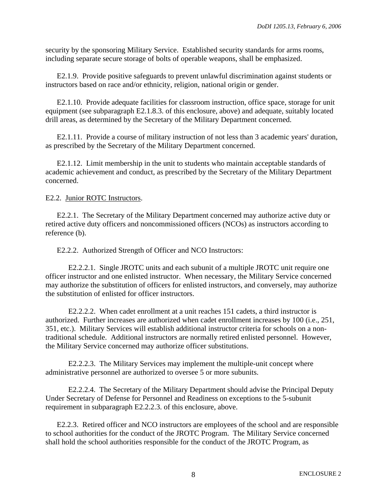security by the sponsoring Military Service. Established security standards for arms rooms, including separate secure storage of bolts of operable weapons, shall be emphasized.

E2.1.9. Provide positive safeguards to prevent unlawful discrimination against students or instructors based on race and/or ethnicity, religion, national origin or gender.

E2.1.10. Provide adequate facilities for classroom instruction, office space, storage for unit equipment (see subparagraph E2.1.8.3. of this enclosure, above) and adequate, suitably located drill areas, as determined by the Secretary of the Military Department concerned.

E2.1.11. Provide a course of military instruction of not less than 3 academic years' duration, as prescribed by the Secretary of the Military Department concerned.

E2.1.12. Limit membership in the unit to students who maintain acceptable standards of academic achievement and conduct, as prescribed by the Secretary of the Military Department concerned.

#### E2.2. Junior ROTC Instructors.

E2.2.1. The Secretary of the Military Department concerned may authorize active duty or retired active duty officers and noncommissioned officers (NCOs) as instructors according to reference (b).

E2.2.2. Authorized Strength of Officer and NCO Instructors:

E2.2.2.1. Single JROTC units and each subunit of a multiple JROTC unit require one officer instructor and one enlisted instructor. When necessary, the Military Service concerned may authorize the substitution of officers for enlisted instructors, and conversely, may authorize the substitution of enlisted for officer instructors.

E2.2.2.2. When cadet enrollment at a unit reaches 151 cadets, a third instructor is authorized. Further increases are authorized when cadet enrollment increases by 100 (i.e., 251, 351, etc.). Military Services will establish additional instructor criteria for schools on a nontraditional schedule. Additional instructors are normally retired enlisted personnel. However, the Military Service concerned may authorize officer substitutions.

E2.2.2.3. The Military Services may implement the multiple-unit concept where administrative personnel are authorized to oversee 5 or more subunits.

E2.2.2.4. The Secretary of the Military Department should advise the Principal Deputy Under Secretary of Defense for Personnel and Readiness on exceptions to the 5-subunit requirement in subparagraph E2.2.2.3. of this enclosure, above.

E2.2.3. Retired officer and NCO instructors are employees of the school and are responsible to school authorities for the conduct of the JROTC Program. The Military Service concerned shall hold the school authorities responsible for the conduct of the JROTC Program, as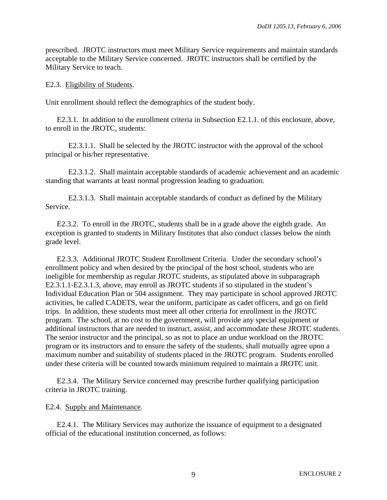prescribed. JROTC instructors must meet Military Service requirements and maintain standards acceptable to the Military Service concerned. JROTC instructors shall be certified by the Military Service to teach.

#### E2.3. Eligibility of Students.

Unit enrollment should reflect the demographics of the student body.

E2.3.1. In addition to the enrollment criteria in Subsection E2.1.1. of this enclosure, above, to enroll in the JROTC, students:

E2.3.1.1. Shall be selected by the JROTC instructor with the approval of the school principal or his/her representative.

E2.3.1.2. Shall maintain acceptable standards of academic achievement and an academic standing that warrants at least normal progression leading to graduation.

E2.3.1.3. Shall maintain acceptable standards of conduct as defined by the Military Service.

E2.3.2. To enroll in the JROTC, students shall be in a grade above the eighth grade. An exception is granted to students in Military Institutes that also conduct classes below the ninth grade level.

E2.3.3. Additional JROTC Student Enrollment Criteria. Under the secondary school's enrollment policy and when desired by the principal of the host school, students who are ineligible for membership as regular JROTC students, as stipulated above in subparagraph E2.3.1.1-E2.3.1.3, above, may enroll as JROTC students if so stipulated in the student's Individual Education Plan or 504 assignment. They may participate in school approved JROTC activities, be called CADETS, wear the uniform, participate as cadet officers, and go on field trips. In addition, these students must meet all other criteria for enrollment in the JROTC program. The school, at no cost to the government, will provide any special equipment or additional instructors that are needed to instruct, assist, and accommodate these JROTC students. The senior instructor and the principal, so as not to place an undue workload on the JROTC program or its instructors and to ensure the safety of the students, shall mutually agree upon a maximum number and suitability of students placed in the JROTC program. Students enrolled under these criteria will be counted towards minimum required to maintain a JROTC unit.

E2.3.4. The Military Service concerned may prescribe further qualifying participation criteria in JROTC training.

#### E2.4. Supply and Maintenance.

E2.4.1. The Military Services may authorize the issuance of equipment to a designated official of the educational institution concerned, as follows: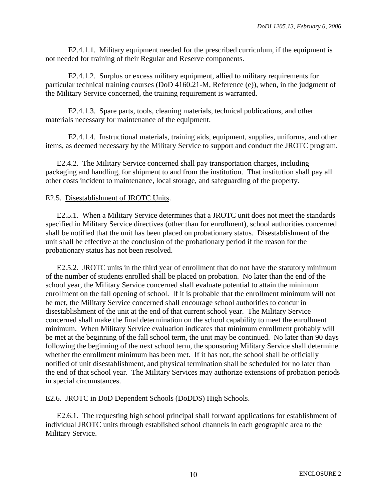E2.4.1.1. Military equipment needed for the prescribed curriculum, if the equipment is not needed for training of their Regular and Reserve components.

E2.4.1.2. Surplus or excess military equipment, allied to military requirements for particular technical training courses (DoD 4160.21-M, Reference (e)), when, in the judgment of the Military Service concerned, the training requirement is warranted.

E2.4.1.3. Spare parts, tools, cleaning materials, technical publications, and other materials necessary for maintenance of the equipment.

E2.4.1.4. Instructional materials, training aids, equipment, supplies, uniforms, and other items, as deemed necessary by the Military Service to support and conduct the JROTC program.

E2.4.2. The Military Service concerned shall pay transportation charges, including packaging and handling, for shipment to and from the institution. That institution shall pay all other costs incident to maintenance, local storage, and safeguarding of the property.

#### E2.5. Disestablishment of JROTC Units.

E2.5.1. When a Military Service determines that a JROTC unit does not meet the standards specified in Military Service directives (other than for enrollment), school authorities concerned shall be notified that the unit has been placed on probationary status. Disestablishment of the unit shall be effective at the conclusion of the probationary period if the reason for the probationary status has not been resolved.

E2.5.2. JROTC units in the third year of enrollment that do not have the statutory minimum of the number of students enrolled shall be placed on probation. No later than the end of the school year, the Military Service concerned shall evaluate potential to attain the minimum enrollment on the fall opening of school. If it is probable that the enrollment minimum will not be met, the Military Service concerned shall encourage school authorities to concur in disestablishment of the unit at the end of that current school year. The Military Service concerned shall make the final determination on the school capability to meet the enrollment minimum. When Military Service evaluation indicates that minimum enrollment probably will be met at the beginning of the fall school term, the unit may be continued. No later than 90 days following the beginning of the next school term, the sponsoring Military Service shall determine whether the enrollment minimum has been met. If it has not, the school shall be officially notified of unit disestablishment, and physical termination shall be scheduled for no later than the end of that school year. The Military Services may authorize extensions of probation periods in special circumstances.

## E2.6. JROTC in DoD Dependent Schools (DoDDS) High Schools.

E2.6.1. The requesting high school principal shall forward applications for establishment of individual JROTC units through established school channels in each geographic area to the Military Service.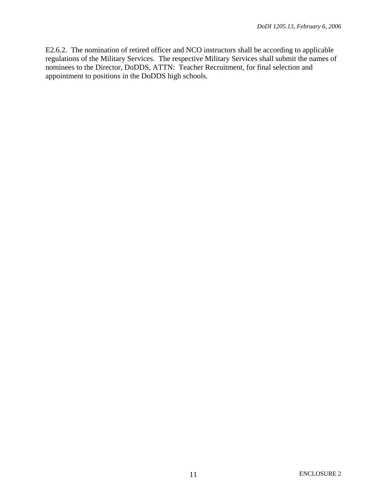E2.6.2. The nomination of retired officer and NCO instructors shall be according to applicable regulations of the Military Services. The respective Military Services shall submit the names of nominees to the Director, DoDDS, ATTN: Teacher Recruitment, for final selection and appointment to positions in the DoDDS high schools.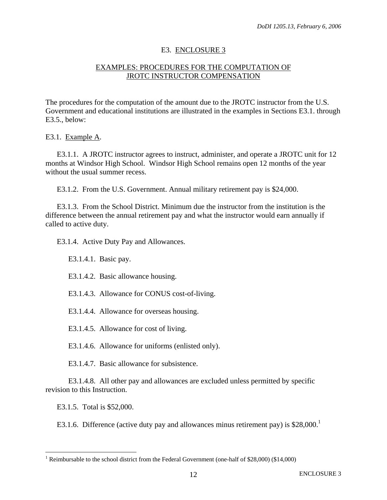## E3. ENCLOSURE 3

## EXAMPLES: PROCEDURES FOR THE COMPUTATION OF JROTC INSTRUCTOR COMPENSATION

The procedures for the computation of the amount due to the JROTC instructor from the U.S. Government and educational institutions are illustrated in the examples in Sections E3.1. through E3.5., below:

E3.1. Example A.

E3.1.1. A JROTC instructor agrees to instruct, administer, and operate a JROTC unit for 12 months at Windsor High School. Windsor High School remains open 12 months of the year without the usual summer recess.

E3.1.2. From the U.S. Government. Annual military retirement pay is \$24,000.

E3.1.3. From the School District. Minimum due the instructor from the institution is the difference between the annual retirement pay and what the instructor would earn annually if called to active duty.

E3.1.4. Active Duty Pay and Allowances.

E3.1.4.1. Basic pay.

E3.1.4.2. Basic allowance housing.

E3.1.4.3. Allowance for CONUS cost-of-living.

E3.1.4.4. Allowance for overseas housing.

E3.1.4.5. Allowance for cost of living.

E3.1.4.6. Allowance for uniforms (enlisted only).

E3.1.4.7. Basic allowance for subsistence.

E3.1.4.8. All other pay and allowances are excluded unless permitted by specific revision to this Instruction.

E3.1.5. Total is \$52,000.

<u>.</u>

E3[.1](#page-11-0).6. Difference (active duty pay and allowances minus retirement pay) is  $$28,000$ .<sup>1</sup>

<span id="page-11-0"></span><sup>&</sup>lt;sup>1</sup> Reimbursable to the school district from the Federal Government (one-half of \$28,000) (\$14,000)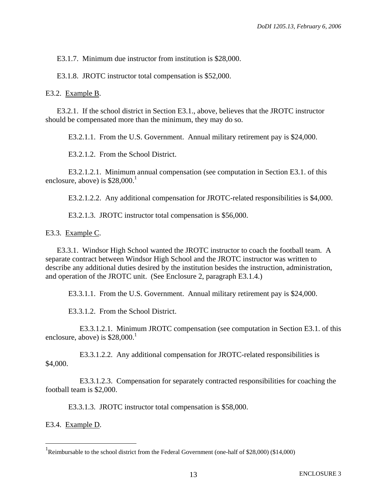E3.1.7. Minimum due instructor from institution is \$28,000.

E3.1.8. JROTC instructor total compensation is \$52,000.

E3.2. Example B.

E3.2.1. If the school district in Section E3.1., above, believes that the JROTC instructor should be compensated more than the minimum, they may do so.

E3.2.1.1. From the U.S. Government. Annual military retirement pay is \$24,000.

E3.2.1.2. From the School District.

E3.2.1.2.1. Minimum annual compensation (see computation in Section E3.1. of this enclosure, above) is  $$28,000$ <sup>[1](#page-12-0)</sup>

E3.2.1.2.2. Any additional compensation for JROTC-related responsibilities is \$4,000.

E3.2.1.3. JROTC instructor total compensation is \$56,000.

E3.3. Example C.

E3.3.1. Windsor High School wanted the JROTC instructor to coach the football team. A separate contract between Windsor High School and the JROTC instructor was written to describe any additional duties desired by the institution besides the instruction, administration, and operation of the JROTC unit. (See Enclosure 2, paragraph E3.1.4.)

E3.3.1.1. From the U.S. Government. Annual military retirement pay is \$24,000.

E3.3.1.2. From the School District.

E3.3.1.2.1. Minimum JROTC compensation (see computation in Section E3.1. of this enclosure, above) is  $$28,000<sup>1</sup>$ 

E3.3.1.2.2. Any additional compensation for JROTC-related responsibilities is \$4,000.

E3.3.1.2.3. Compensation for separately contracted responsibilities for coaching the football team is \$2,000.

E3.3.1.3. JROTC instructor total compensation is \$58,000.

E3.4. Example D.

 $\overline{a}$ 

<span id="page-12-1"></span><span id="page-12-0"></span><sup>&</sup>lt;sup>1</sup>Reimbursable to the school district from the Federal Government (one-half of \$28,000) (\$14,000)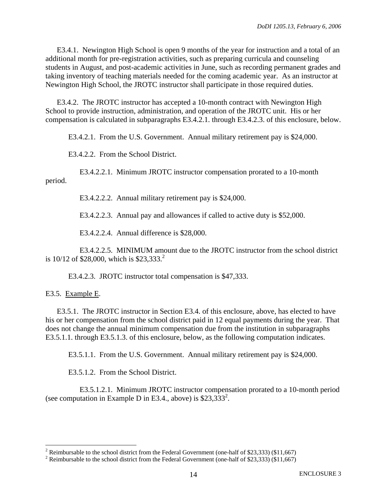E3.4.1. Newington High School is open 9 months of the year for instruction and a total of an additional month for pre-registration activities, such as preparing curricula and counseling students in August, and post-academic activities in June, such as recording permanent grades and taking inventory of teaching materials needed for the coming academic year. As an instructor at Newington High School, the JROTC instructor shall participate in those required duties.

E3.4.2. The JROTC instructor has accepted a 10-month contract with Newington High School to provide instruction, administration, and operation of the JROTC unit. His or her compensation is calculated in subparagraphs E3.4.2.1. through E3.4.2.3. of this enclosure, below.

E3.4.2.1. From the U.S. Government. Annual military retirement pay is \$24,000.

E3.4.2.2. From the School District.

E3.4.2.2.1. Minimum JROTC instructor compensation prorated to a 10-month period.

E3.4.2.2.2. Annual military retirement pay is \$24,000.

E3.4.2.2.3. Annual pay and allowances if called to active duty is \$52,000.

E3.4.2.2.4. Annual difference is \$28,000.

E3.4.2.2.5. MINIMUM amount due to the JROTC instructor from the school district is  $10/12$  $10/12$  of \$28,000, which is \$23,333.<sup>2</sup>

E3.4.2.3. JROTC instructor total compensation is \$47,333.

E3.5. Example E.

1

E3.5.1. The JROTC instructor in Section E3.4. of this enclosure, above, has elected to have his or her compensation from the school district paid in 12 equal payments during the year. That does not change the annual minimum compensation due from the institution in subparagraphs E3.5.1.1. through E3.5.1.3. of this enclosure, below, as the following computation indicates.

E3.5.1.1. From the U.S. Government. Annual military retirement pay is \$24,000.

E3.5.1.2. From the School District.

E3.5.1.2.1. Minimum JROTC instructor compensation prorated to a 10-month period (see computation in Example D in E3.4., above) is  $$23,333^2$ .

<span id="page-13-0"></span><sup>&</sup>lt;sup>2</sup> Reimbursable to the school district from the Federal Government (one-half of \$23,333) (\$11,667)  $\frac{2 \text{ Boinbureable to the school district from the Federal Government (one-half of $23,323)}{(11.667)}$ 

<span id="page-13-1"></span><sup>&</sup>lt;sup>2</sup> Reimbursable to the school district from the Federal Government (one-half of \$23,333) (\$11,667)